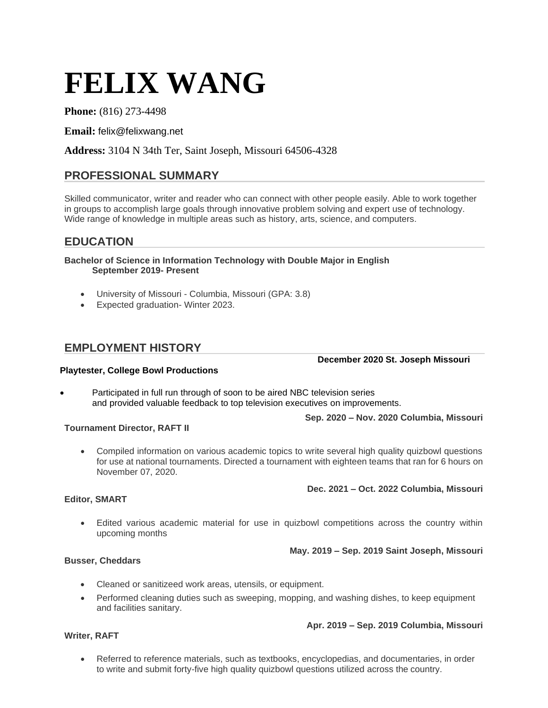# **FELIX WANG**

### **Phone:** (816) 273-4498

**Email:** felix@felixwang.net

**Address:** 3104 N 34th Ter, Saint Joseph, Missouri 64506-4328

# **PROFESSIONAL SUMMARY**

Skilled communicator, writer and reader who can connect with other people easily. Able to work together in groups to accomplish large goals through innovative problem solving and expert use of technology. Wide range of knowledge in multiple areas such as history, arts, science, and computers.

# **EDUCATION**

**Bachelor of Science in Information Technology with Double Major in English September 2019- Present**

- University of Missouri Columbia, Missouri (GPA: 3.8)
- Expected graduation- Winter 2023.

# **EMPLOYMENT HISTORY**

**December 2020 St. Joseph Missouri**

### **Playtester, College Bowl Productions**

Participated in full run through of soon to be aired NBC television series and provided valuable feedback to top television executives on improvements.

**Sep. 2020 – Nov. 2020 Columbia, Missouri**

### **Tournament Director, RAFT II**

• Compiled information on various academic topics to write several high quality quizbowl questions for use at national tournaments. Directed a tournament with eighteen teams that ran for 6 hours on November 07, 2020.

### **Dec. 2021 – Oct. 2022 Columbia, Missouri**

### **Editor, SMART**

• Edited various academic material for use in quizbowl competitions across the country within upcoming months

### **May. 2019 – Sep. 2019 Saint Joseph, Missouri**

### **Busser, Cheddars**

**Writer, RAFT**

- Cleaned or sanitizeed work areas, utensils, or equipment.
- Performed cleaning duties such as sweeping, mopping, and washing dishes, to keep equipment and facilities sanitary.

### **Apr. 2019 – Sep. 2019 Columbia, Missouri**

• Referred to reference materials, such as textbooks, encyclopedias, and documentaries, in order to write and submit forty-five high quality quizbowl questions utilized across the country.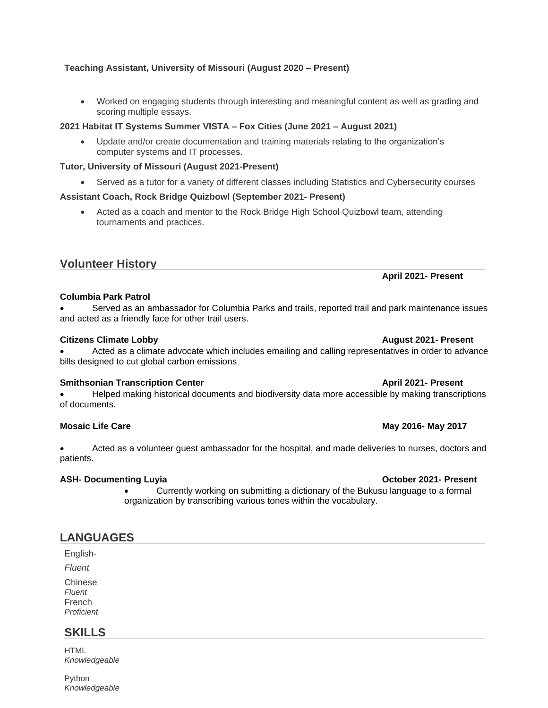# **Teaching Assistant, University of Missouri (August 2020 – Present)**

• Worked on engaging students through interesting and meaningful content as well as grading and scoring multiple essays.

# **2021 Habitat IT Systems Summer VISTA – Fox Cities (June 2021 – August 2021)**

• Update and/or create documentation and training materials relating to the organization's computer systems and IT processes.

# **Tutor, University of Missouri (August 2021-Present)**

• Served as a tutor for a variety of different classes including Statistics and Cybersecurity courses

# **Assistant Coach, Rock Bridge Quizbowl (September 2021- Present)**

• Acted as a coach and mentor to the Rock Bridge High School Quizbowl team, attending tournaments and practices.

# **Volunteer History**

# **Columbia Park Patrol**

• Served as an ambassador for Columbia Parks and trails, reported trail and park maintenance issues and acted as a friendly face for other trail users.

### **Citizens Climate Lobby August 2021- Present**

• Acted as a climate advocate which includes emailing and calling representatives in order to advance bills designed to cut global carbon emissions

### **Smithsonian Transcription Center April 2021- Present**

• Helped making historical documents and biodiversity data more accessible by making transcriptions of documents.

### **Mosaic Life Care May 2017 May 2016- May 2017**

• Acted as a volunteer guest ambassador for the hospital, and made deliveries to nurses, doctors and patients.

### **ASH-** Documenting Luyia *Decrees the Case of Case of Case of Case of Case of Case of Case of Case of Case of Case of Case of Case of Case of Case of Case of Case of Case of Case of Case of Case of Case of Case of Case of*

• Currently working on submitting a dictionary of the Bukusu language to a formal organization by transcribing various tones within the vocabulary.

# **LANGUAGES**

English-

*Fluent*

Chinese *Fluent*  French *Proficient*

# **SKILLS**

**HTML** *Knowledgeable*

Python *Knowledgeable* 

**April 2021- Present**